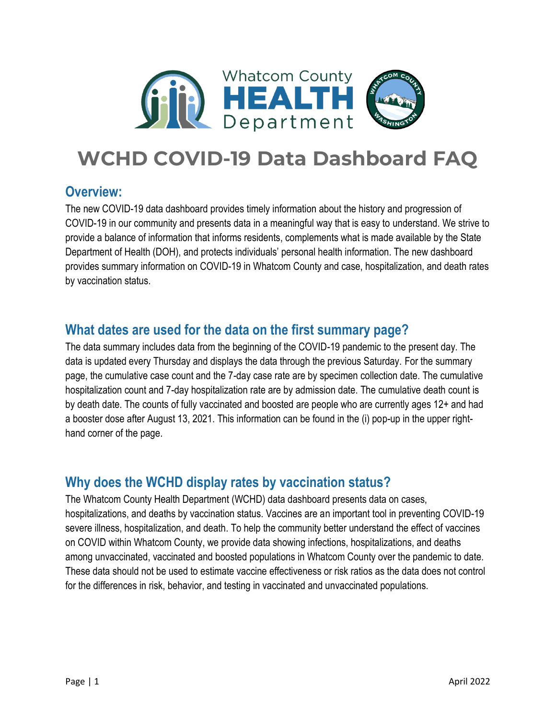

# **WCHD COVID-19 Data Dashboard FAQ**

#### **Overview:**

The new COVID-19 data dashboard provides timely information about the history and progression of COVID-19 in our community and presents data in a meaningful way that is easy to understand. We strive to provide a balance of information that informs residents, complements what is made available by the State Department of Health (DOH), and protects individuals' personal health information. The new dashboard provides summary information on COVID-19 in Whatcom County and case, hospitalization, and death rates by vaccination status.

# **What dates are used for the data on the first summary page?**

The data summary includes data from the beginning of the COVID-19 pandemic to the present day. The data is updated every Thursday and displays the data through the previous Saturday. For the summary page, the cumulative case count and the 7-day case rate are by specimen collection date. The cumulative hospitalization count and 7-day hospitalization rate are by admission date. The cumulative death count is by death date. The counts of fully vaccinated and boosted are people who are currently ages 12+ and had a booster dose after August 13, 2021. This information can be found in the (i) pop-up in the upper righthand corner of the page.

# **Why does the WCHD display rates by vaccination status?**

The Whatcom County Health Department (WCHD) data dashboard presents data on cases, hospitalizations, and deaths by vaccination status. Vaccines are an important tool in preventing COVID-19 severe illness, hospitalization, and death. To help the community better understand the effect of vaccines on COVID within Whatcom County, we provide data showing infections, hospitalizations, and deaths among unvaccinated, vaccinated and boosted populations in Whatcom County over the pandemic to date. These data should not be used to estimate vaccine effectiveness or risk ratios as the data does not control for the differences in risk, behavior, and testing in vaccinated and unvaccinated populations.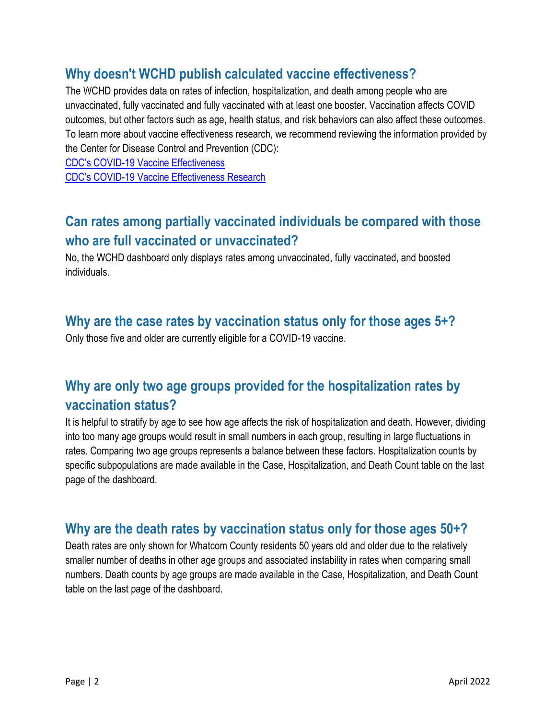# **Why doesn't WCHD publish calculated vaccine effectiveness?**

The WCHD provides data on rates of infection, hospitalization, and death among people who are unvaccinated, fully vaccinated and fully vaccinated with at least one booster. Vaccination affects COVID outcomes, but other factors such as age, health status, and risk behaviors can also affect these outcomes. To learn more about vaccine effectiveness research, we recommend reviewing the information provided by the Center for Disease Control and Prevention (CDC):

CDC's COVID[-19 Vaccine Effectiveness](https://covid.cdc.gov/covid-data-tracker/#vaccine-effectiveness) CDC's COVID[-19 Vaccine Effectiveness Research](https://www.cdc.gov/vaccines/covid-19/effectiveness-research/protocols.html)

# **Can rates among partially vaccinated individuals be compared with those who are full vaccinated or unvaccinated?**

No, the WCHD dashboard only displays rates among unvaccinated, fully vaccinated, and boosted individuals.

#### **Why are the case rates by vaccination status only for those ages 5+?**

Only those five and older are currently eligible for a COVID-19 vaccine.

# **Why are only two age groups provided for the hospitalization rates by vaccination status?**

It is helpful to stratify by age to see how age affects the risk of hospitalization and death. However, dividing into too many age groups would result in small numbers in each group, resulting in large fluctuations in rates. Comparing two age groups represents a balance between these factors. Hospitalization counts by specific subpopulations are made available in the Case, Hospitalization, and Death Count table on the last page of the dashboard.

# **Why are the death rates by vaccination status only for those ages 50+?**

Death rates are only shown for Whatcom County residents 50 years old and older due to the relatively smaller number of deaths in other age groups and associated instability in rates when comparing small numbers. Death counts by age groups are made available in the Case, Hospitalization, and Death Count table on the last page of the dashboard.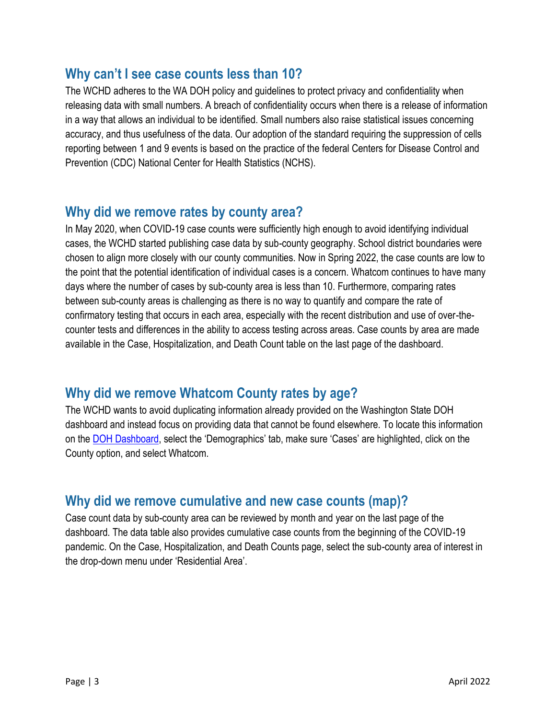#### **Why can't I see case counts less than 10?**

The WCHD adheres to the WA DOH policy and guidelines to protect privacy and confidentiality when releasing data with small numbers. A breach of confidentiality occurs when there is a release of information in a way that allows an individual to be identified. Small numbers also raise statistical issues concerning accuracy, and thus usefulness of the data. Our adoption of the standard requiring the suppression of cells reporting between 1 and 9 events is based on the practice of the federal Centers for Disease Control and Prevention (CDC) National Center for Health Statistics (NCHS).

#### **Why did we remove rates by county area?**

In May 2020, when COVID-19 case counts were sufficiently high enough to avoid identifying individual cases, the WCHD started publishing case data by sub-county geography. School district boundaries were chosen to align more closely with our county communities. Now in Spring 2022, the case counts are low to the point that the potential identification of individual cases is a concern. Whatcom continues to have many days where the number of cases by sub-county area is less than 10. Furthermore, comparing rates between sub-county areas is challenging as there is no way to quantify and compare the rate of confirmatory testing that occurs in each area, especially with the recent distribution and use of over-thecounter tests and differences in the ability to access testing across areas. Case counts by area are made available in the Case, Hospitalization, and Death Count table on the last page of the dashboard.

#### **Why did we remove Whatcom County rates by age?**

The WCHD wants to avoid duplicating information already provided on the Washington State DOH dashboard and instead focus on providing data that cannot be found elsewhere. To locate this information on the [DOH Dashboard](https://www.whatcomcounty.us/3427/COVID-19-Data), select the 'Demographics' tab, make sure 'Cases' are highlighted, click on the County option, and select Whatcom.

#### **Why did we remove cumulative and new case counts (map)?**

Case count data by sub-county area can be reviewed by month and year on the last page of the dashboard. The data table also provides cumulative case counts from the beginning of the COVID-19 pandemic. On the Case, Hospitalization, and Death Counts page, select the sub-county area of interest in the drop-down menu under 'Residential Area'.